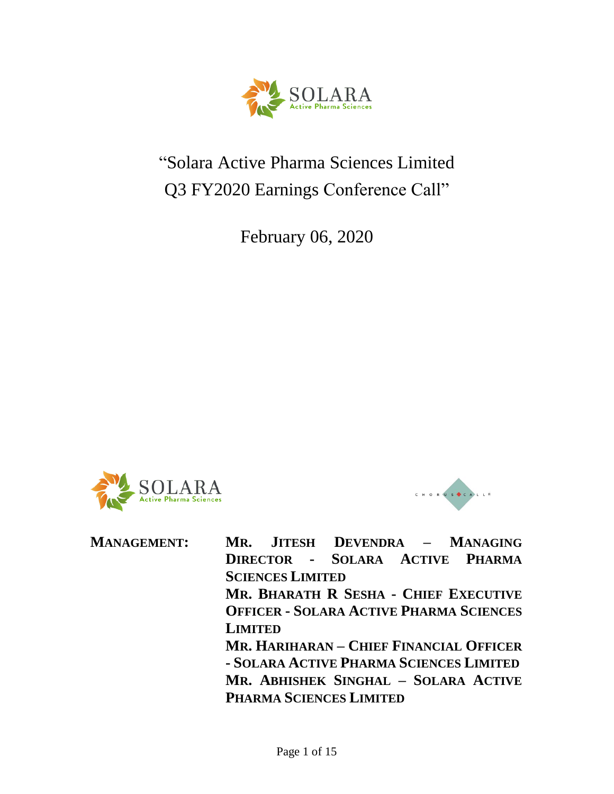

# "Solara Active Pharma Sciences Limited Q3 FY2020 Earnings Conference Call"

February 06, 2020





**MANAGEMENT: MR. JITESH DEVENDRA – MANAGING DIRECTOR - SOLARA ACTIVE PHARMA SCIENCES LIMITED MR. BHARATH R SESHA - CHIEF EXECUTIVE OFFICER - SOLARA ACTIVE PHARMA SCIENCES LIMITED MR. HARIHARAN – CHIEF FINANCIAL OFFICER - SOLARA ACTIVE PHARMA SCIENCES LIMITED MR. ABHISHEK SINGHAL – SOLARA ACTIVE PHARMA SCIENCES LIMITED**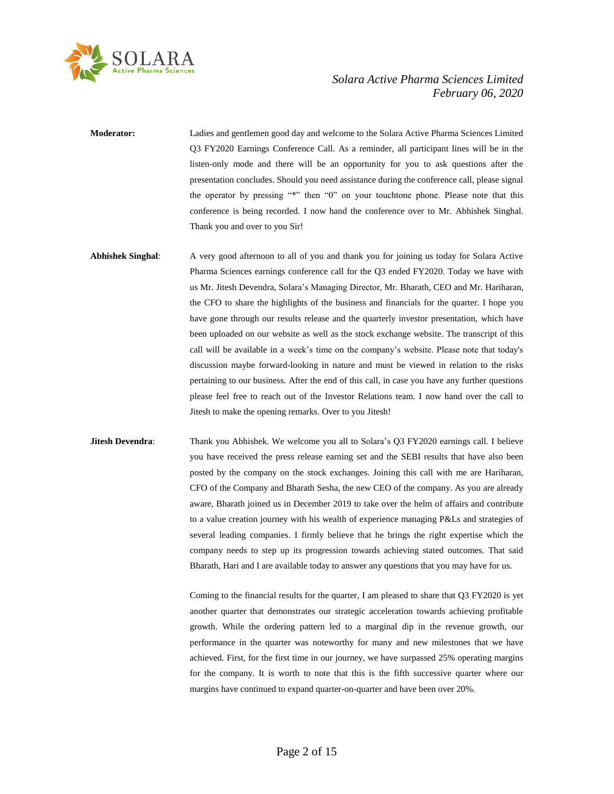

**Moderator:** Ladies and gentlemen good day and welcome to the Solara Active Pharma Sciences Limited Q3 FY2020 Earnings Conference Call. As a reminder, all participant lines will be in the listen-only mode and there will be an opportunity for you to ask questions after the presentation concludes. Should you need assistance during the conference call, please signal the operator by pressing "\*" then "0" on your touchtone phone. Please note that this conference is being recorded. I now hand the conference over to Mr. Abhishek Singhal. Thank you and over to you Sir!

**Abhishek Singhal**: A very good afternoon to all of you and thank you for joining us today for Solara Active Pharma Sciences earnings conference call for the Q3 ended FY2020. Today we have with us Mr. Jitesh Devendra, Solara's Managing Director, Mr. Bharath, CEO and Mr. Hariharan, the CFO to share the highlights of the business and financials for the quarter. I hope you have gone through our results release and the quarterly investor presentation, which have been uploaded on our website as well as the stock exchange website. The transcript of this call will be available in a week's time on the company's website. Please note that today's discussion maybe forward-looking in nature and must be viewed in relation to the risks pertaining to our business. After the end of this call, in case you have any further questions please feel free to reach out of the Investor Relations team. I now hand over the call to Jitesh to make the opening remarks. Over to you Jitesh!

**Jitesh Devendra:** Thank you Abhishek. We welcome you all to Solara's Q3 FY2020 earnings call. I believe you have received the press release earning set and the SEBI results that have also been posted by the company on the stock exchanges. Joining this call with me are Hariharan, CFO of the Company and Bharath Sesha, the new CEO of the company. As you are already aware, Bharath joined us in December 2019 to take over the helm of affairs and contribute to a value creation journey with his wealth of experience managing P&Ls and strategies of several leading companies. I firmly believe that he brings the right expertise which the company needs to step up its progression towards achieving stated outcomes. That said Bharath, Hari and I are available today to answer any questions that you may have for us.

> Coming to the financial results for the quarter, I am pleased to share that Q3 FY2020 is yet another quarter that demonstrates our strategic acceleration towards achieving profitable growth. While the ordering pattern led to a marginal dip in the revenue growth, our performance in the quarter was noteworthy for many and new milestones that we have achieved. First, for the first time in our journey, we have surpassed 25% operating margins for the company. It is worth to note that this is the fifth successive quarter where our margins have continued to expand quarter-on-quarter and have been over 20%.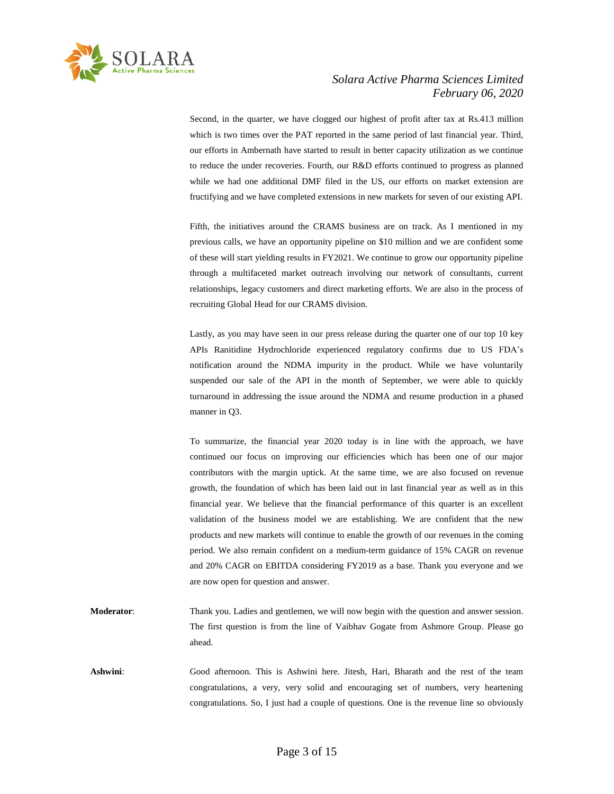

Second, in the quarter, we have clogged our highest of profit after tax at Rs.413 million which is two times over the PAT reported in the same period of last financial year. Third, our efforts in Ambernath have started to result in better capacity utilization as we continue to reduce the under recoveries. Fourth, our R&D efforts continued to progress as planned while we had one additional DMF filed in the US, our efforts on market extension are fructifying and we have completed extensions in new markets for seven of our existing API.

Fifth, the initiatives around the CRAMS business are on track. As I mentioned in my previous calls, we have an opportunity pipeline on \$10 million and we are confident some of these will start yielding results in FY2021. We continue to grow our opportunity pipeline through a multifaceted market outreach involving our network of consultants, current relationships, legacy customers and direct marketing efforts. We are also in the process of recruiting Global Head for our CRAMS division.

Lastly, as you may have seen in our press release during the quarter one of our top 10 key APIs Ranitidine Hydrochloride experienced regulatory confirms due to US FDA's notification around the NDMA impurity in the product. While we have voluntarily suspended our sale of the API in the month of September, we were able to quickly turnaround in addressing the issue around the NDMA and resume production in a phased manner in Q3.

To summarize, the financial year 2020 today is in line with the approach, we have continued our focus on improving our efficiencies which has been one of our major contributors with the margin uptick. At the same time, we are also focused on revenue growth, the foundation of which has been laid out in last financial year as well as in this financial year. We believe that the financial performance of this quarter is an excellent validation of the business model we are establishing. We are confident that the new products and new markets will continue to enable the growth of our revenues in the coming period. We also remain confident on a medium-term guidance of 15% CAGR on revenue and 20% CAGR on EBITDA considering FY2019 as a base. Thank you everyone and we are now open for question and answer.

- **Moderator:** Thank you. Ladies and gentlemen, we will now begin with the question and answer session. The first question is from the line of Vaibhav Gogate from Ashmore Group. Please go ahead.
- **Ashwini**: Good afternoon. This is Ashwini here. Jitesh, Hari, Bharath and the rest of the team congratulations, a very, very solid and encouraging set of numbers, very heartening congratulations. So, I just had a couple of questions. One is the revenue line so obviously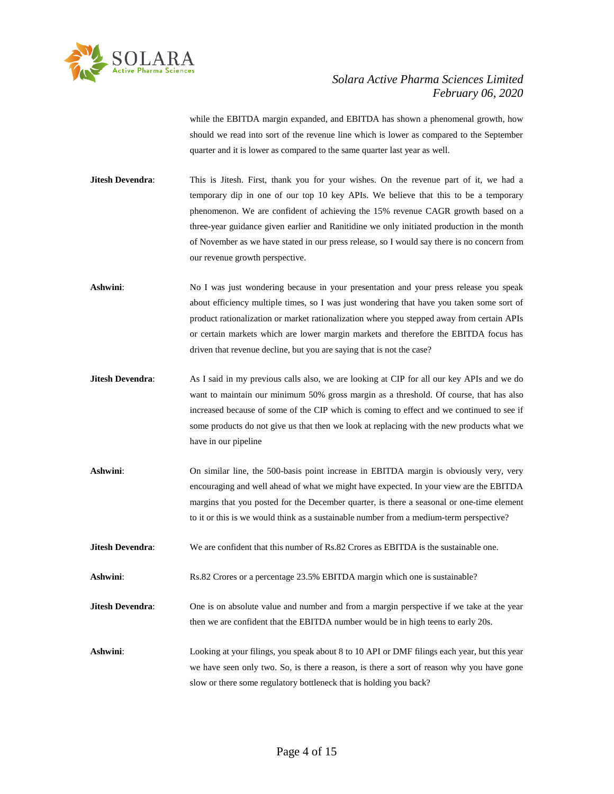

while the EBITDA margin expanded, and EBITDA has shown a phenomenal growth, how should we read into sort of the revenue line which is lower as compared to the September quarter and it is lower as compared to the same quarter last year as well.

**Jitesh Devendra:** This is Jitesh. First, thank you for your wishes. On the revenue part of it, we had a temporary dip in one of our top 10 key APIs. We believe that this to be a temporary phenomenon. We are confident of achieving the 15% revenue CAGR growth based on a three-year guidance given earlier and Ranitidine we only initiated production in the month of November as we have stated in our press release, so I would say there is no concern from our revenue growth perspective.

**Ashwini**: No I was just wondering because in your presentation and your press release you speak about efficiency multiple times, so I was just wondering that have you taken some sort of product rationalization or market rationalization where you stepped away from certain APIs or certain markets which are lower margin markets and therefore the EBITDA focus has driven that revenue decline, but you are saying that is not the case?

- **Jitesh Devendra:** As I said in my previous calls also, we are looking at CIP for all our key APIs and we do want to maintain our minimum 50% gross margin as a threshold. Of course, that has also increased because of some of the CIP which is coming to effect and we continued to see if some products do not give us that then we look at replacing with the new products what we have in our pipeline
- **Ashwini**: On similar line, the 500-basis point increase in EBITDA margin is obviously very, very encouraging and well ahead of what we might have expected. In your view are the EBITDA margins that you posted for the December quarter, is there a seasonal or one-time element to it or this is we would think as a sustainable number from a medium-term perspective?
- **Jitesh Devendra:** We are confident that this number of Rs.82 Crores as EBITDA is the sustainable one.
- **Ashwini:** Rs.82 Crores or a percentage 23.5% EBITDA margin which one is sustainable?
- **Jitesh Devendra:** One is on absolute value and number and from a margin perspective if we take at the year then we are confident that the EBITDA number would be in high teens to early 20s.
- Ashwini: Looking at your filings, you speak about 8 to 10 API or DMF filings each year, but this year we have seen only two. So, is there a reason, is there a sort of reason why you have gone slow or there some regulatory bottleneck that is holding you back?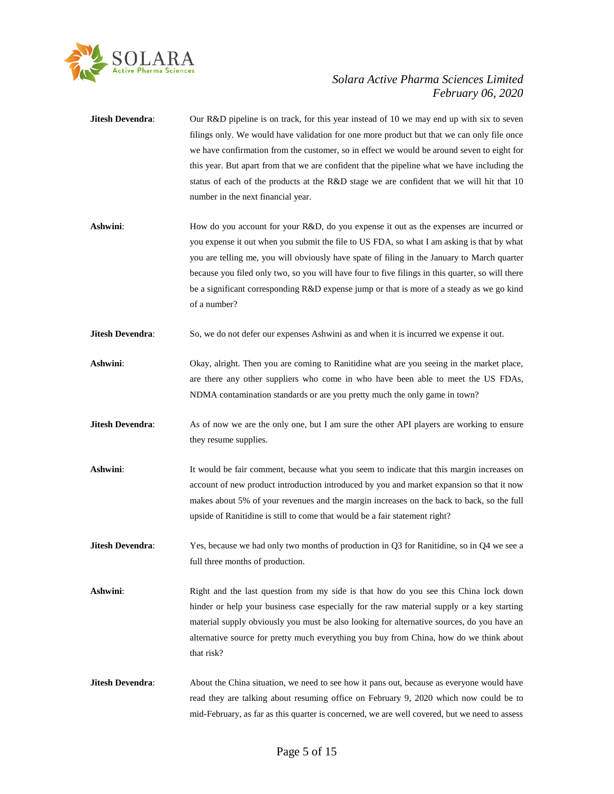

| Jitesh Devendra:        | Our R&D pipeline is on track, for this year instead of 10 we may end up with six to seven<br>filings only. We would have validation for one more product but that we can only file once<br>we have confirmation from the customer, so in effect we would be around seven to eight for<br>this year. But apart from that we are confident that the pipeline what we have including the<br>status of each of the products at the R&D stage we are confident that we will hit that 10<br>number in the next financial year. |
|-------------------------|--------------------------------------------------------------------------------------------------------------------------------------------------------------------------------------------------------------------------------------------------------------------------------------------------------------------------------------------------------------------------------------------------------------------------------------------------------------------------------------------------------------------------|
| Ashwini:                | How do you account for your R&D, do you expense it out as the expenses are incurred or<br>you expense it out when you submit the file to US FDA, so what I am asking is that by what<br>you are telling me, you will obviously have spate of filing in the January to March quarter<br>because you filed only two, so you will have four to five filings in this quarter, so will there<br>be a significant corresponding R&D expense jump or that is more of a steady as we go kind<br>of a number?                     |
| <b>Jitesh Devendra:</b> | So, we do not defer our expenses Ashwini as and when it is incurred we expense it out.                                                                                                                                                                                                                                                                                                                                                                                                                                   |
| Ashwini:                | Okay, alright. Then you are coming to Ranitidine what are you seeing in the market place,<br>are there any other suppliers who come in who have been able to meet the US FDAs,<br>NDMA contamination standards or are you pretty much the only game in town?                                                                                                                                                                                                                                                             |
| Jitesh Devendra:        | As of now we are the only one, but I am sure the other API players are working to ensure<br>they resume supplies.                                                                                                                                                                                                                                                                                                                                                                                                        |
| Ashwini:                | It would be fair comment, because what you seem to indicate that this margin increases on<br>account of new product introduction introduced by you and market expansion so that it now<br>makes about 5% of your revenues and the margin increases on the back to back, so the full<br>upside of Ranitidine is still to come that would be a fair statement right?                                                                                                                                                       |
| <b>Jitesh Devendra:</b> | Yes, because we had only two months of production in Q3 for Ranitidine, so in Q4 we see a<br>full three months of production.                                                                                                                                                                                                                                                                                                                                                                                            |
| Ashwini:                | Right and the last question from my side is that how do you see this China lock down<br>hinder or help your business case especially for the raw material supply or a key starting<br>material supply obviously you must be also looking for alternative sources, do you have an<br>alternative source for pretty much everything you buy from China, how do we think about<br>that risk?                                                                                                                                |
|                         |                                                                                                                                                                                                                                                                                                                                                                                                                                                                                                                          |

**Jitesh Devendra**: About the China situation, we need to see how it pans out, because as everyone would have read they are talking about resuming office on February 9, 2020 which now could be to mid-February, as far as this quarter is concerned, we are well covered, but we need to assess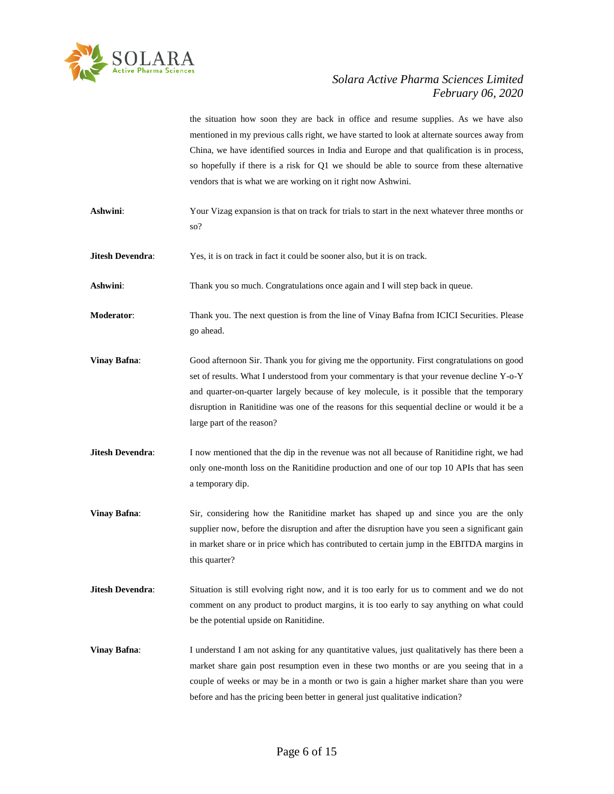

the situation how soon they are back in office and resume supplies. As we have also mentioned in my previous calls right, we have started to look at alternate sources away from China, we have identified sources in India and Europe and that qualification is in process, so hopefully if there is a risk for Q1 we should be able to source from these alternative vendors that is what we are working on it right now Ashwini.

- **Ashwini**: Your Vizag expansion is that on track for trials to start in the next whatever three months or so?
- **Jitesh Devendra:** Yes, it is on track in fact it could be sooner also, but it is on track.

**Ashwini:** Thank you so much. Congratulations once again and I will step back in queue.

**Moderator**: Thank you. The next question is from the line of Vinay Bafna from ICICI Securities. Please go ahead.

- **Vinay Bafna:** Good afternoon Sir. Thank you for giving me the opportunity. First congratulations on good set of results. What I understood from your commentary is that your revenue decline Y-o-Y and quarter-on-quarter largely because of key molecule, is it possible that the temporary disruption in Ranitidine was one of the reasons for this sequential decline or would it be a large part of the reason?
- **Jitesh Devendra:** I now mentioned that the dip in the revenue was not all because of Ranitidine right, we had only one-month loss on the Ranitidine production and one of our top 10 APIs that has seen a temporary dip.
- **Vinay Bafna**: Sir, considering how the Ranitidine market has shaped up and since you are the only supplier now, before the disruption and after the disruption have you seen a significant gain in market share or in price which has contributed to certain jump in the EBITDA margins in this quarter?
- **Jitesh Devendra:** Situation is still evolving right now, and it is too early for us to comment and we do not comment on any product to product margins, it is too early to say anything on what could be the potential upside on Ranitidine.
- **Vinay Bafna**: I understand I am not asking for any quantitative values, just qualitatively has there been a market share gain post resumption even in these two months or are you seeing that in a couple of weeks or may be in a month or two is gain a higher market share than you were before and has the pricing been better in general just qualitative indication?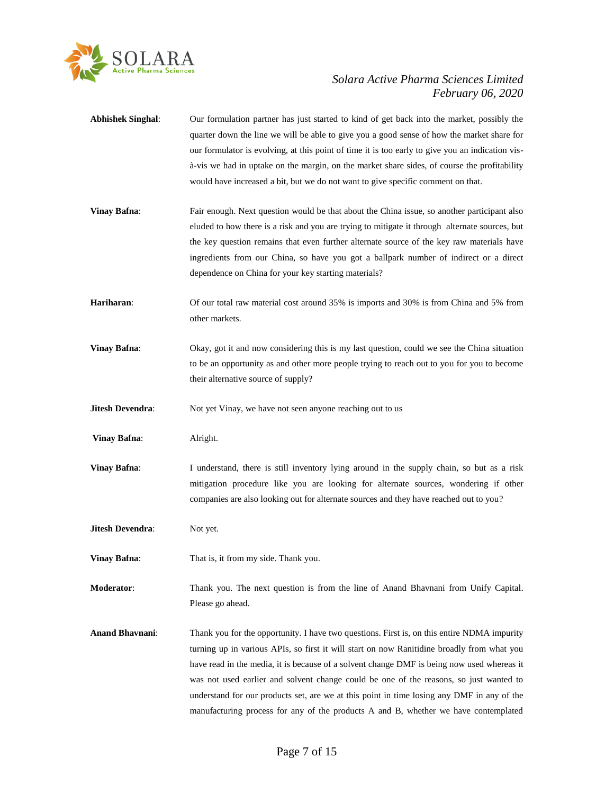

| <b>Abhishek Singhal:</b> | Our formulation partner has just started to kind of get back into the market, possibly the<br>quarter down the line we will be able to give you a good sense of how the market share for<br>our formulator is evolving, at this point of time it is too early to give you an indication vis-<br>à-vis we had in uptake on the margin, on the market share sides, of course the profitability<br>would have increased a bit, but we do not want to give specific comment on that.                                                                                       |
|--------------------------|------------------------------------------------------------------------------------------------------------------------------------------------------------------------------------------------------------------------------------------------------------------------------------------------------------------------------------------------------------------------------------------------------------------------------------------------------------------------------------------------------------------------------------------------------------------------|
| <b>Vinay Bafna:</b>      | Fair enough. Next question would be that about the China issue, so another participant also<br>eluded to how there is a risk and you are trying to mitigate it through alternate sources, but<br>the key question remains that even further alternate source of the key raw materials have<br>ingredients from our China, so have you got a ballpark number of indirect or a direct<br>dependence on China for your key starting materials?                                                                                                                            |
| Hariharan:               | Of our total raw material cost around 35% is imports and 30% is from China and 5% from<br>other markets.                                                                                                                                                                                                                                                                                                                                                                                                                                                               |
| <b>Vinay Bafna:</b>      | Okay, got it and now considering this is my last question, could we see the China situation<br>to be an opportunity as and other more people trying to reach out to you for you to become<br>their alternative source of supply?                                                                                                                                                                                                                                                                                                                                       |
| Jitesh Devendra:         | Not yet Vinay, we have not seen anyone reaching out to us                                                                                                                                                                                                                                                                                                                                                                                                                                                                                                              |
| <b>Vinay Bafna:</b>      | Alright.                                                                                                                                                                                                                                                                                                                                                                                                                                                                                                                                                               |
| <b>Vinay Bafna:</b>      | I understand, there is still inventory lying around in the supply chain, so but as a risk<br>mitigation procedure like you are looking for alternate sources, wondering if other<br>companies are also looking out for alternate sources and they have reached out to you?                                                                                                                                                                                                                                                                                             |
| Jitesh Devendra:         | Not yet.                                                                                                                                                                                                                                                                                                                                                                                                                                                                                                                                                               |
| <b>Vinay Bafna:</b>      | That is, it from my side. Thank you.                                                                                                                                                                                                                                                                                                                                                                                                                                                                                                                                   |
| Moderator:               | Thank you. The next question is from the line of Anand Bhavnani from Unify Capital.<br>Please go ahead.                                                                                                                                                                                                                                                                                                                                                                                                                                                                |
| <b>Anand Bhavnani:</b>   | Thank you for the opportunity. I have two questions. First is, on this entire NDMA impurity<br>turning up in various APIs, so first it will start on now Ranitidine broadly from what you<br>have read in the media, it is because of a solvent change DMF is being now used whereas it<br>was not used earlier and solvent change could be one of the reasons, so just wanted to<br>understand for our products set, are we at this point in time losing any DMF in any of the<br>manufacturing process for any of the products A and B, whether we have contemplated |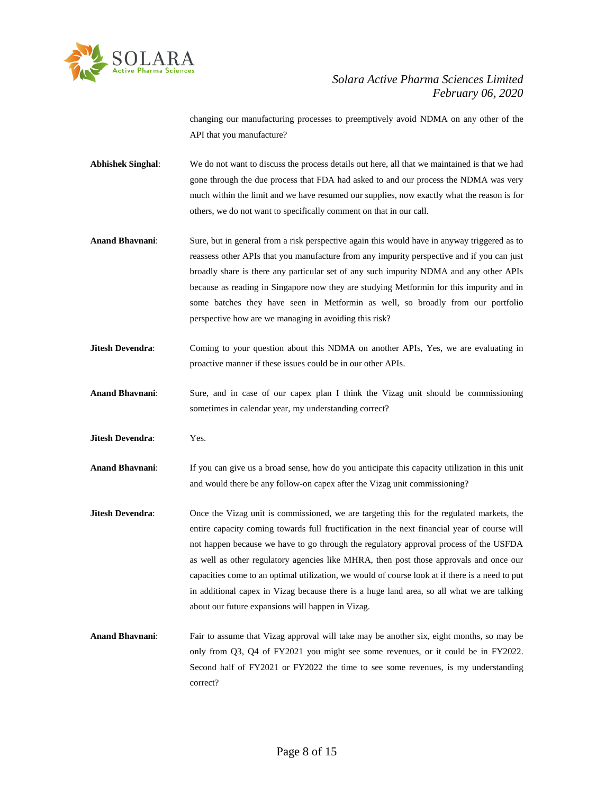

changing our manufacturing processes to preemptively avoid NDMA on any other of the API that you manufacture?

- **Abhishek Singhal**: We do not want to discuss the process details out here, all that we maintained is that we had gone through the due process that FDA had asked to and our process the NDMA was very much within the limit and we have resumed our supplies, now exactly what the reason is for others, we do not want to specifically comment on that in our call.
- **Anand Bhavnani**: Sure, but in general from a risk perspective again this would have in anyway triggered as to reassess other APIs that you manufacture from any impurity perspective and if you can just broadly share is there any particular set of any such impurity NDMA and any other APIs because as reading in Singapore now they are studying Metformin for this impurity and in some batches they have seen in Metformin as well, so broadly from our portfolio perspective how are we managing in avoiding this risk?
- **Jitesh Devendra:** Coming to your question about this NDMA on another APIs, Yes, we are evaluating in proactive manner if these issues could be in our other APIs.
- **Anand Bhavnani**: Sure, and in case of our capex plan I think the Vizag unit should be commissioning sometimes in calendar year, my understanding correct?
- **Jitesh Devendra**: Yes.
- **Anand Bhavnani**: If you can give us a broad sense, how do you anticipate this capacity utilization in this unit and would there be any follow-on capex after the Vizag unit commissioning?
- **Jitesh Devendra:** Once the Vizag unit is commissioned, we are targeting this for the regulated markets, the entire capacity coming towards full fructification in the next financial year of course will not happen because we have to go through the regulatory approval process of the USFDA as well as other regulatory agencies like MHRA, then post those approvals and once our capacities come to an optimal utilization, we would of course look at if there is a need to put in additional capex in Vizag because there is a huge land area, so all what we are talking about our future expansions will happen in Vizag.
- **Anand Bhavnani**: Fair to assume that Vizag approval will take may be another six, eight months, so may be only from Q3, Q4 of FY2021 you might see some revenues, or it could be in FY2022. Second half of FY2021 or FY2022 the time to see some revenues, is my understanding correct?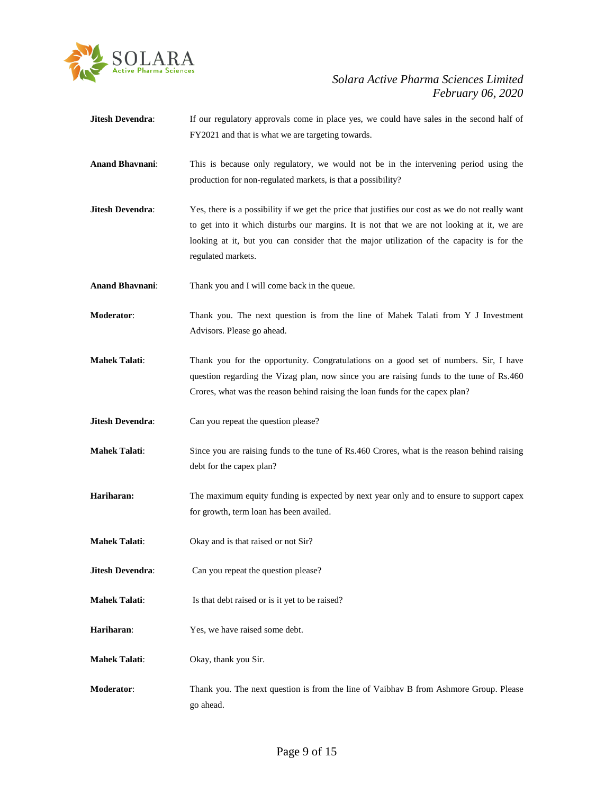

- **Jitesh Devendra:** If our regulatory approvals come in place yes, we could have sales in the second half of FY2021 and that is what we are targeting towards.
- **Anand Bhavnani**: This is because only regulatory, we would not be in the intervening period using the production for non-regulated markets, is that a possibility?
- **Jitesh Devendra:** Yes, there is a possibility if we get the price that justifies our cost as we do not really want to get into it which disturbs our margins. It is not that we are not looking at it, we are looking at it, but you can consider that the major utilization of the capacity is for the regulated markets.
- **Anand Bhavnani**: Thank you and I will come back in the queue.
- **Moderator**: Thank you. The next question is from the line of Mahek Talati from Y J Investment Advisors. Please go ahead.
- **Mahek Talati**: Thank you for the opportunity. Congratulations on a good set of numbers. Sir, I have question regarding the Vizag plan, now since you are raising funds to the tune of Rs.460 Crores, what was the reason behind raising the loan funds for the capex plan?
- **Jitesh Devendra:** Can you repeat the question please?
- **Mahek Talati:** Since you are raising funds to the tune of Rs.460 Crores, what is the reason behind raising debt for the capex plan?
- **Hariharan:** The maximum equity funding is expected by next year only and to ensure to support capex for growth, term loan has been availed.
- **Mahek Talati**: Okay and is that raised or not Sir?
- **Jitesh Devendra:** Can you repeat the question please?
- **Mahek Talati:** Is that debt raised or is it yet to be raised?
- **Hariharan**: Yes, we have raised some debt.
- **Mahek Talati**: Okay, thank you Sir.
- **Moderator**: Thank you. The next question is from the line of Vaibhav B from Ashmore Group. Please go ahead.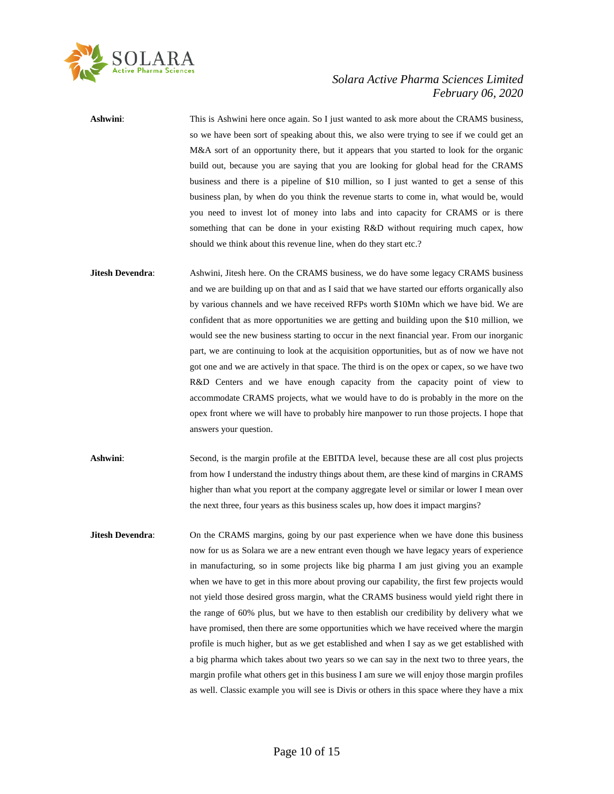

**Ashwini**: This is Ashwini here once again. So I just wanted to ask more about the CRAMS business, so we have been sort of speaking about this, we also were trying to see if we could get an M&A sort of an opportunity there, but it appears that you started to look for the organic build out, because you are saying that you are looking for global head for the CRAMS business and there is a pipeline of \$10 million, so I just wanted to get a sense of this business plan, by when do you think the revenue starts to come in, what would be, would you need to invest lot of money into labs and into capacity for CRAMS or is there something that can be done in your existing R&D without requiring much capex, how should we think about this revenue line, when do they start etc.? **Jitesh Devendra:** Ashwini, Jitesh here. On the CRAMS business, we do have some legacy CRAMS business and we are building up on that and as I said that we have started our efforts organically also by various channels and we have received RFPs worth \$10Mn which we have bid. We are confident that as more opportunities we are getting and building upon the \$10 million, we

would see the new business starting to occur in the next financial year. From our inorganic part, we are continuing to look at the acquisition opportunities, but as of now we have not got one and we are actively in that space. The third is on the opex or capex, so we have two R&D Centers and we have enough capacity from the capacity point of view to accommodate CRAMS projects, what we would have to do is probably in the more on the opex front where we will have to probably hire manpower to run those projects. I hope that answers your question.

Ashwini: Second, is the margin profile at the EBITDA level, because these are all cost plus projects from how I understand the industry things about them, are these kind of margins in CRAMS higher than what you report at the company aggregate level or similar or lower I mean over the next three, four years as this business scales up, how does it impact margins?

**Jitesh Devendra:** On the CRAMS margins, going by our past experience when we have done this business now for us as Solara we are a new entrant even though we have legacy years of experience in manufacturing, so in some projects like big pharma I am just giving you an example when we have to get in this more about proving our capability, the first few projects would not yield those desired gross margin, what the CRAMS business would yield right there in the range of 60% plus, but we have to then establish our credibility by delivery what we have promised, then there are some opportunities which we have received where the margin profile is much higher, but as we get established and when I say as we get established with a big pharma which takes about two years so we can say in the next two to three years, the margin profile what others get in this business I am sure we will enjoy those margin profiles as well. Classic example you will see is Divis or others in this space where they have a mix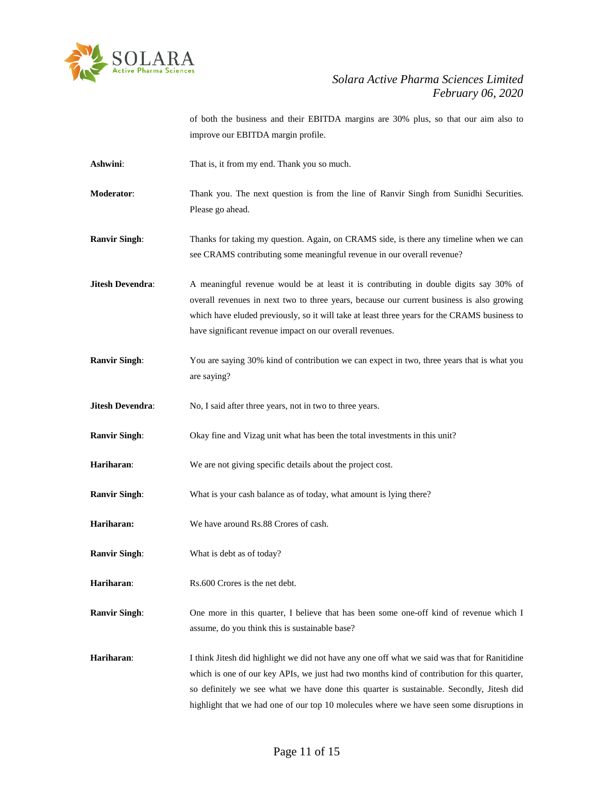

of both the business and their EBITDA margins are 30% plus, so that our aim also to improve our EBITDA margin profile.

- Ashwini: That is, it from my end. Thank you so much.
- **Moderator**: Thank you. The next question is from the line of Ranvir Singh from Sunidhi Securities. Please go ahead.
- **Ranvir Singh**: Thanks for taking my question. Again, on CRAMS side, is there any timeline when we can see CRAMS contributing some meaningful revenue in our overall revenue?
- **Jitesh Devendra:** A meaningful revenue would be at least it is contributing in double digits say 30% of overall revenues in next two to three years, because our current business is also growing which have eluded previously, so it will take at least three years for the CRAMS business to have significant revenue impact on our overall revenues.
- **Ranvir Singh:** You are saying 30% kind of contribution we can expect in two, three years that is what you are saying?

**Jitesh Devendra:** No, I said after three years, not in two to three years.

- **Ranvir Singh**: Okay fine and Vizag unit what has been the total investments in this unit?
- **Hariharan**: We are not giving specific details about the project cost.
- **Ranvir Singh:** What is your cash balance as of today, what amount is lying there?
- **Hariharan:** We have around Rs.88 Crores of cash.
- **Ranvir Singh**: What is debt as of today?
- **Hariharan:** Rs.600 Crores is the net debt.

**Ranvir Singh**: One more in this quarter, I believe that has been some one-off kind of revenue which I assume, do you think this is sustainable base?

Hariharan: I think Jitesh did highlight we did not have any one off what we said was that for Ranitidine which is one of our key APIs, we just had two months kind of contribution for this quarter, so definitely we see what we have done this quarter is sustainable. Secondly, Jitesh did highlight that we had one of our top 10 molecules where we have seen some disruptions in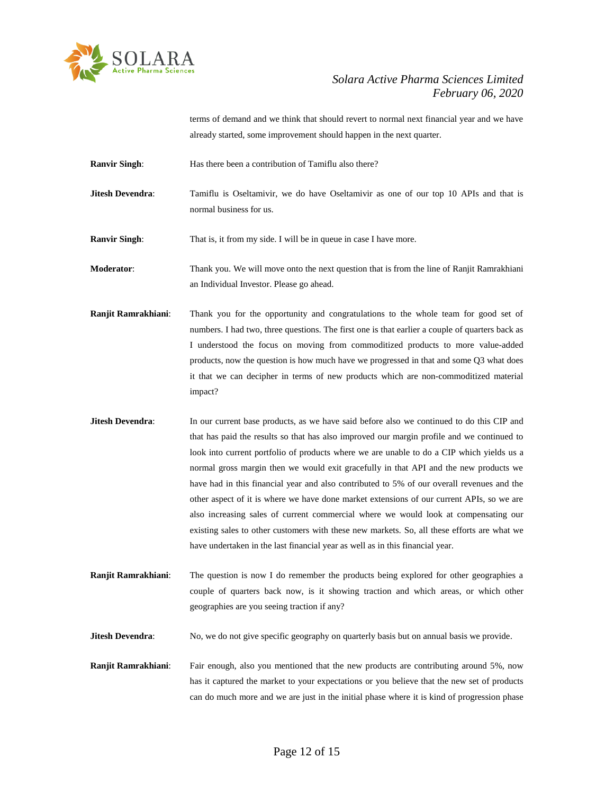

terms of demand and we think that should revert to normal next financial year and we have already started, some improvement should happen in the next quarter.

- **Ranvir Singh:** Has there been a contribution of Tamiflu also there?
- **Jitesh Devendra**: Tamiflu is Oseltamivir, we do have Oseltamivir as one of our top 10 APIs and that is normal business for us.

**Ranvir Singh:** That is, it from my side. I will be in queue in case I have more.

**Moderator**: Thank you. We will move onto the next question that is from the line of Ranjit Ramrakhiani an Individual Investor. Please go ahead.

- **Ranjit Ramrakhiani**: Thank you for the opportunity and congratulations to the whole team for good set of numbers. I had two, three questions. The first one is that earlier a couple of quarters back as I understood the focus on moving from commoditized products to more value-added products, now the question is how much have we progressed in that and some Q3 what does it that we can decipher in terms of new products which are non-commoditized material impact?
- **Jitesh Devendra:** In our current base products, as we have said before also we continued to do this CIP and that has paid the results so that has also improved our margin profile and we continued to look into current portfolio of products where we are unable to do a CIP which yields us a normal gross margin then we would exit gracefully in that API and the new products we have had in this financial year and also contributed to 5% of our overall revenues and the other aspect of it is where we have done market extensions of our current APIs, so we are also increasing sales of current commercial where we would look at compensating our existing sales to other customers with these new markets. So, all these efforts are what we have undertaken in the last financial year as well as in this financial year.
- **Ranjit Ramrakhiani**: The question is now I do remember the products being explored for other geographies a couple of quarters back now, is it showing traction and which areas, or which other geographies are you seeing traction if any?

**Jitesh Devendra:** No, we do not give specific geography on quarterly basis but on annual basis we provide.

**Ranjit Ramrakhiani**: Fair enough, also you mentioned that the new products are contributing around 5%, now has it captured the market to your expectations or you believe that the new set of products can do much more and we are just in the initial phase where it is kind of progression phase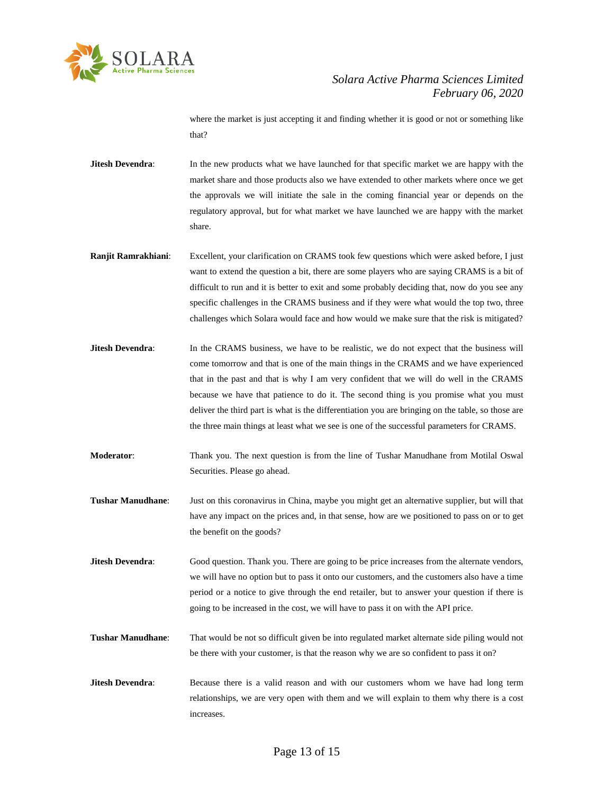

where the market is just accepting it and finding whether it is good or not or something like that?

- **Jitesh Devendra:** In the new products what we have launched for that specific market we are happy with the market share and those products also we have extended to other markets where once we get the approvals we will initiate the sale in the coming financial year or depends on the regulatory approval, but for what market we have launched we are happy with the market share.
- **Ranjit Ramrakhiani**: Excellent, your clarification on CRAMS took few questions which were asked before, I just want to extend the question a bit, there are some players who are saying CRAMS is a bit of difficult to run and it is better to exit and some probably deciding that, now do you see any specific challenges in the CRAMS business and if they were what would the top two, three challenges which Solara would face and how would we make sure that the risk is mitigated?
- **Jitesh Devendra:** In the CRAMS business, we have to be realistic, we do not expect that the business will come tomorrow and that is one of the main things in the CRAMS and we have experienced that in the past and that is why I am very confident that we will do well in the CRAMS because we have that patience to do it. The second thing is you promise what you must deliver the third part is what is the differentiation you are bringing on the table, so those are the three main things at least what we see is one of the successful parameters for CRAMS.
- **Moderator**: Thank you. The next question is from the line of Tushar Manudhane from Motilal Oswal Securities. Please go ahead.
- **Tushar Manudhane**: Just on this coronavirus in China, maybe you might get an alternative supplier, but will that have any impact on the prices and, in that sense, how are we positioned to pass on or to get the benefit on the goods?

**Jitesh Devendra:** Good question. Thank you. There are going to be price increases from the alternate vendors, we will have no option but to pass it onto our customers, and the customers also have a time period or a notice to give through the end retailer, but to answer your question if there is going to be increased in the cost, we will have to pass it on with the API price.

- **Tushar Manudhane**: That would be not so difficult given be into regulated market alternate side piling would not be there with your customer, is that the reason why we are so confident to pass it on?
- **Jitesh Devendra:** Because there is a valid reason and with our customers whom we have had long term relationships, we are very open with them and we will explain to them why there is a cost increases.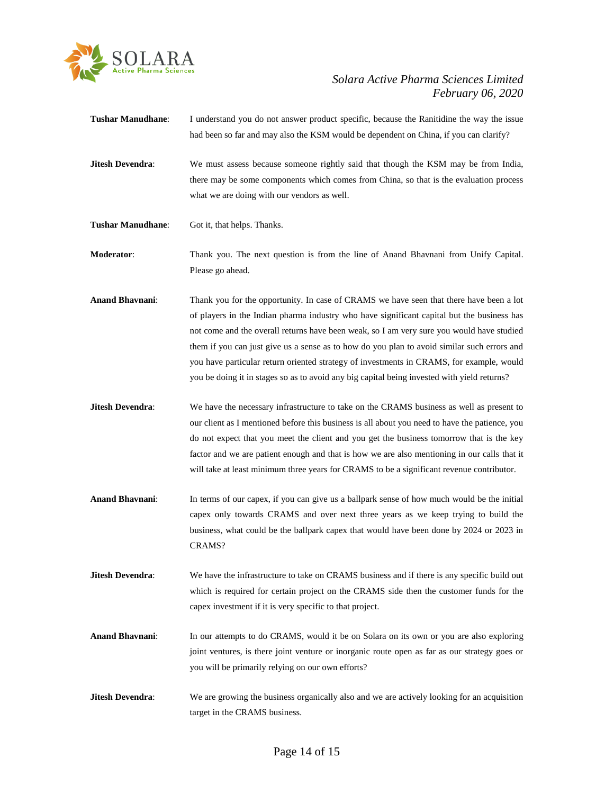

- **Tushar Manudhane**: I understand you do not answer product specific, because the Ranitidine the way the issue had been so far and may also the KSM would be dependent on China, if you can clarify?
- **Jitesh Devendra:** We must assess because someone rightly said that though the KSM may be from India, there may be some components which comes from China, so that is the evaluation process what we are doing with our vendors as well.
- **Tushar Manudhane**: Got it, that helps. Thanks.
- **Moderator**: Thank you. The next question is from the line of Anand Bhavnani from Unify Capital. Please go ahead.
- **Anand Bhavnani**: Thank you for the opportunity. In case of CRAMS we have seen that there have been a lot of players in the Indian pharma industry who have significant capital but the business has not come and the overall returns have been weak, so I am very sure you would have studied them if you can just give us a sense as to how do you plan to avoid similar such errors and you have particular return oriented strategy of investments in CRAMS, for example, would you be doing it in stages so as to avoid any big capital being invested with yield returns?
- **Jitesh Devendra**: We have the necessary infrastructure to take on the CRAMS business as well as present to our client as I mentioned before this business is all about you need to have the patience, you do not expect that you meet the client and you get the business tomorrow that is the key factor and we are patient enough and that is how we are also mentioning in our calls that it will take at least minimum three years for CRAMS to be a significant revenue contributor.
- **Anand Bhavnani**: In terms of our capex, if you can give us a ballpark sense of how much would be the initial capex only towards CRAMS and over next three years as we keep trying to build the business, what could be the ballpark capex that would have been done by 2024 or 2023 in CRAMS?
- **Jitesh Devendra:** We have the infrastructure to take on CRAMS business and if there is any specific build out which is required for certain project on the CRAMS side then the customer funds for the capex investment if it is very specific to that project.
- Anand Bhavnani: In our attempts to do CRAMS, would it be on Solara on its own or you are also exploring joint ventures, is there joint venture or inorganic route open as far as our strategy goes or you will be primarily relying on our own efforts?
- **Jitesh Devendra:** We are growing the business organically also and we are actively looking for an acquisition target in the CRAMS business.